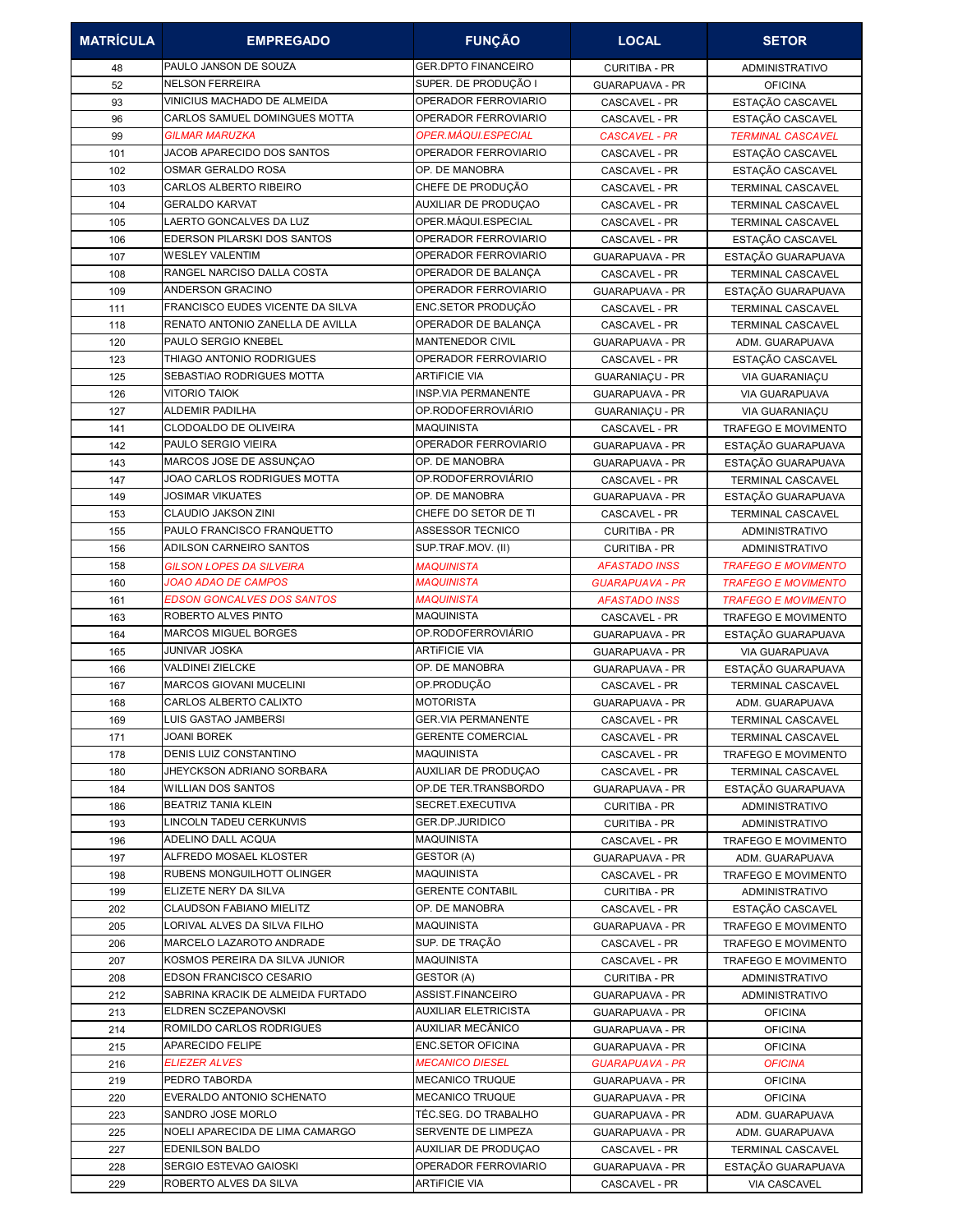| <b>MATRÍCULA</b> | <b>EMPREGADO</b>                                | <b>FUNÇÃO</b>                                      | <b>LOCAL</b>                                     | <b>SETOR</b>                             |
|------------------|-------------------------------------------------|----------------------------------------------------|--------------------------------------------------|------------------------------------------|
| 48               | PAULO JANSON DE SOUZA                           | <b>GER.DPTO FINANCEIRO</b>                         | CURITIBA - PR                                    | <b>ADMINISTRATIVO</b>                    |
| 52               | <b>NELSON FERREIRA</b>                          | SUPER. DE PRODUÇÃO I                               | <b>GUARAPUAVA - PR</b>                           | <b>OFICINA</b>                           |
| 93               | VINICIUS MACHADO DE ALMEIDA                     | OPERADOR FERROVIARIO                               | CASCAVEL - PR                                    | ESTAÇÃO CASCAVEL                         |
| 96               | <b>CARLOS SAMUEL DOMINGUES MOTTA</b>            | OPERADOR FERROVIARIO                               | CASCAVEL - PR                                    | ESTAÇÃO CASCAVEL                         |
| 99               | <b>GILMAR MARUZKA</b>                           | OPER.MÁQUI.ESPECIAL                                | <b>CASCAVEL - PR</b>                             | <b>TERMINAL CASCAVEL</b>                 |
| 101              | JACOB APARECIDO DOS SANTOS                      | OPERADOR FERROVIARIO                               | CASCAVEL - PR                                    | ESTAÇÃO CASCAVEL                         |
| 102              | OSMAR GERALDO ROSA                              | OP. DE MANOBRA                                     | CASCAVEL - PR                                    | ESTAÇÃO CASCAVEL                         |
| 103              | CARLOS ALBERTO RIBEIRO                          | CHEFE DE PRODUÇÃO                                  | CASCAVEL - PR                                    | TERMINAL CASCAVEL                        |
| 104              | <b>GERALDO KARVAT</b>                           | AUXILIAR DE PRODUÇÃO                               | CASCAVEL - PR                                    | TERMINAL CASCAVEL                        |
| 105              | LAERTO GONCALVES DA LUZ                         | OPER.MÁQUI.ESPECIAL                                | CASCAVEL - PR                                    | TERMINAL CASCAVEL                        |
| 106              | EDERSON PILARSKI DOS SANTOS                     | OPERADOR FERROVIARIO                               | <b>CASCAVEL - PR</b>                             | ESTAÇÃO CASCAVEL                         |
| 107              | <b>WESLEY VALENTIM</b>                          | OPERADOR FERROVIARIO                               | <b>GUARAPUAVA - PR</b>                           | ESTAÇÃO GUARAPUAVA                       |
| 108              | RANGEL NARCISO DALLA COSTA                      | OPERADOR DE BALANÇA                                | CASCAVEL - PR                                    | TERMINAL CASCAVEL                        |
| 109              | ANDERSON GRACINO                                | OPERADOR FERROVIARIO                               | <b>GUARAPUAVA - PR</b>                           | ESTAÇÃO GUARAPUAVA                       |
| 111              | FRANCISCO EUDES VICENTE DA SILVA                | ENC.SETOR PRODUÇÃO                                 | CASCAVEL - PR                                    | TERMINAL CASCAVEL                        |
| 118              | RENATO ANTONIO ZANELLA DE AVILLA                | OPERADOR DE BALANÇA                                | CASCAVEL - PR                                    | <b>TERMINAL CASCAVEL</b>                 |
| 120              | PAULO SERGIO KNEBEL                             | <b>MANTENEDOR CIVIL</b>                            | <b>GUARAPUAVA - PR</b>                           | ADM. GUARAPUAVA                          |
| 123              | THIAGO ANTONIO RODRIGUES                        | OPERADOR FERROVIARIO                               | CASCAVEL - PR                                    | ESTAÇÃO CASCAVEL                         |
| 125              | SEBASTIAO RODRIGUES MOTTA                       | <b>ARTIFICIE VIA</b><br><b>INSP.VIA PERMANENTE</b> | <b>GUARANIACU - PR</b>                           | VIA GUARANIAÇU                           |
| 126              | <b>VITORIO TAIOK</b><br><b>ALDEMIR PADILHA</b>  | OP.RODOFERROVIÁRIO                                 | GUARAPUAVA - PR                                  | VIA GUARAPUAVA                           |
| 127              | CLODOALDO DE OLIVEIRA                           | <b>MAQUINISTA</b>                                  | <b>GUARANIACU - PR</b>                           | VIA GUARANIAÇU                           |
| 141              | PAULO SERGIO VIEIRA                             | OPERADOR FERROVIARIO                               | CASCAVEL - PR                                    | <b>TRAFEGO E MOVIMENTO</b>               |
| 142<br>143       | MARCOS JOSE DE ASSUNÇÃO                         | OP. DE MANOBRA                                     | <b>GUARAPUAVA - PR</b><br><b>GUARAPUAVA - PR</b> | ESTAÇÃO GUARAPUAVA<br>ESTAÇÃO GUARAPUAVA |
| 147              | JOAO CARLOS RODRIGUES MOTTA                     | OP.RODOFERROVIÁRIO                                 | CASCAVEL - PR                                    | TERMINAL CASCAVEL                        |
| 149              | JOSIMAR VIKUATES                                | OP. DE MANOBRA                                     | <b>GUARAPUAVA - PR</b>                           | ESTAÇÃO GUARAPUAVA                       |
| 153              | CLAUDIO JAKSON ZINI                             | CHEFE DO SETOR DE TI                               | CASCAVEL - PR                                    | TERMINAL CASCAVEL                        |
| 155              | PAULO FRANCISCO FRANQUETTO                      | <b>ASSESSOR TECNICO</b>                            | <b>CURITIBA - PR</b>                             | ADMINISTRATIVO                           |
| 156              | ADILSON CARNEIRO SANTOS                         | SUP.TRAF.MOV. (II)                                 | <b>CURITIBA - PR</b>                             | <b>ADMINISTRATIVO</b>                    |
| 158              | <b>GILSON LOPES DA SILVEIRA</b>                 | <b>MAQUINISTA</b>                                  | <b>AFASTADO INSS</b>                             | <b>TRAFEGO E MOVIMENTO</b>               |
| 160              | JOAO ADAO DE CAMPOS                             | <b>MAQUINISTA</b>                                  | <b>GUARAPUAVA - PR</b>                           | <b>TRAFEGO E MOVIMENTO</b>               |
| 161              | <b>EDSON GONCALVES DOS SANTOS</b>               | <b>MAQUINISTA</b>                                  | <b>AFASTADO INSS</b>                             | <b>TRAFEGO E MOVIMENTO</b>               |
| 163              | ROBERTO ALVES PINTO                             | <b>MAQUINISTA</b>                                  | CASCAVEL - PR                                    | <b>TRAFEGO E MOVIMENTO</b>               |
| 164              | <b>MARCOS MIGUEL BORGES</b>                     | OP.RODOFERROVIÁRIO                                 | <b>GUARAPUAVA - PR</b>                           | ESTAÇÃO GUARAPUAVA                       |
| 165              | JUNIVAR JOSKA                                   | <b>ARTIFICIE VIA</b>                               | <b>GUARAPUAVA - PR</b>                           | <b>VIA GUARAPUAVA</b>                    |
| 166              | <b>VALDINEI ZIELCKE</b>                         | OP. DE MANOBRA                                     | <b>GUARAPUAVA - PR</b>                           | ESTAÇÃO GUARAPUAVA                       |
| 167              | <b>MARCOS GIOVANI MUCELINI</b>                  | OP.PRODUÇÃO                                        | CASCAVEL - PR                                    | TERMINAL CASCAVEL                        |
| 168              | CARLOS ALBERTO CALIXTO                          | <b>MOTORISTA</b>                                   | <b>GUARAPUAVA - PR</b>                           | ADM. GUARAPUAVA                          |
| 169              | LUIS GASTAO JAMBERSI                            | <b>GER.VIA PERMANENTE</b>                          | CASCAVEL - PR                                    | <b>TERMINAL CASCAVEL</b>                 |
| 171              | <b>JOANI BOREK</b>                              | <b>GERENTE COMERCIAL</b>                           | CASCAVEL - PR                                    | TERMINAL CASCAVEL                        |
| 178              | DENIS LUIZ CONSTANTINO                          | <b>MAQUINISTA</b>                                  | CASCAVEL - PR                                    | <b>TRAFEGO E MOVIMENTO</b>               |
| 180              | JHEYCKSON ADRIANO SORBARA                       | AUXILIAR DE PRODUÇÃO                               | CASCAVEL - PR                                    | TERMINAL CASCAVEL                        |
| 184              | <b>WILLIAN DOS SANTOS</b>                       | OP.DE TER.TRANSBORDO                               | <b>GUARAPUAVA - PR</b>                           | ESTAÇÃO GUARAPUAVA                       |
| 186              | <b>BEATRIZ TANIA KLEIN</b>                      | SECRET.EXECUTIVA                                   | <b>CURITIBA - PR</b>                             | <b>ADMINISTRATIVO</b>                    |
| 193              | LINCOLN TADEU CERKUNVIS                         | GER.DP.JURIDICO                                    | <b>CURITIBA - PR</b>                             | ADMINISTRATIVO                           |
| 196              | ADELINO DALL ACQUA                              | MAQUINISTA                                         | CASCAVEL - PR                                    | <b>TRAFEGO E MOVIMENTO</b>               |
| 197              | ALFREDO MOSAEL KLOSTER                          | GESTOR (A)                                         | <b>GUARAPUAVA - PR</b>                           | ADM. GUARAPUAVA                          |
| 198              | RUBENS MONGUILHOTT OLINGER                      | MAQUINISTA                                         | CASCAVEL - PR                                    | TRAFEGO E MOVIMENTO                      |
| 199              | ELIZETE NERY DA SILVA                           | <b>GERENTE CONTABIL</b>                            | <b>CURITIBA - PR</b>                             | <b>ADMINISTRATIVO</b>                    |
| 202              | CLAUDSON FABIANO MIELITZ                        | OP. DE MANOBRA                                     | CASCAVEL - PR                                    | ESTAÇÃO CASCAVEL                         |
| 205              | LORIVAL ALVES DA SILVA FILHO                    | <b>MAQUINISTA</b>                                  | <b>GUARAPUAVA - PR</b>                           | TRAFEGO E MOVIMENTO                      |
| 206              | MARCELO LAZAROTO ANDRADE                        | SUP. DE TRAÇÃO                                     | CASCAVEL - PR                                    | <b>TRAFEGO E MOVIMENTO</b>               |
| 207              | KOSMOS PEREIRA DA SILVA JUNIOR                  | <b>MAQUINISTA</b>                                  | CASCAVEL - PR                                    | <b>TRAFEGO E MOVIMENTO</b>               |
| 208              | EDSON FRANCISCO CESARIO                         | GESTOR (A)                                         | <b>CURITIBA - PR</b>                             | ADMINISTRATIVO                           |
| 212              | SABRINA KRACIK DE ALMEIDA FURTADO               | ASSIST.FINANCEIRO                                  | <b>GUARAPUAVA - PR</b>                           | ADMINISTRATIVO                           |
| 213              | ELDREN SCZEPANOVSKI<br>ROMILDO CARLOS RODRIGUES | <b>AUXILIAR ELETRICISTA</b><br>AUXILIAR MECÂNICO   | <b>GUARAPUAVA - PR</b>                           | <b>OFICINA</b>                           |
| 214              | APARECIDO FELIPE                                | ENC.SETOR OFICINA                                  | <b>GUARAPUAVA - PR</b>                           | <b>OFICINA</b>                           |
| 215<br>216       | ELIEZER ALVES                                   | <b>MECANICO DIESEL</b>                             | GUARAPUAVA - PR<br><b>GUARAPUAVA - PR</b>        | <b>OFICINA</b><br><b>OFICINA</b>         |
| 219              | PEDRO TABORDA                                   | MECANICO TRUQUE                                    | <b>GUARAPUAVA - PR</b>                           | <b>OFICINA</b>                           |
| 220              | EVERALDO ANTONIO SCHENATO                       | <b>MECANICO TRUQUE</b>                             | <b>GUARAPUAVA - PR</b>                           | <b>OFICINA</b>                           |
| 223              | SANDRO JOSE MORLO                               | TÉC.SEG. DO TRABALHO                               | <b>GUARAPUAVA - PR</b>                           | ADM. GUARAPUAVA                          |
| 225              | NOELI APARECIDA DE LIMA CAMARGO                 | SERVENTE DE LIMPEZA                                | <b>GUARAPUAVA - PR</b>                           | ADM. GUARAPUAVA                          |
| 227              | EDENILSON BALDO                                 | AUXILIAR DE PRODUÇÃO                               | CASCAVEL - PR                                    | TERMINAL CASCAVEL                        |
| 228              | SERGIO ESTEVAO GAIOSKI                          | OPERADOR FERROVIARIO                               | <b>GUARAPUAVA - PR</b>                           | ESTAÇÃO GUARAPUAVA                       |
| 229              | ROBERTO ALVES DA SILVA                          | <b>ARTIFICIE VIA</b>                               | CASCAVEL - PR                                    | VIA CASCAVEL                             |